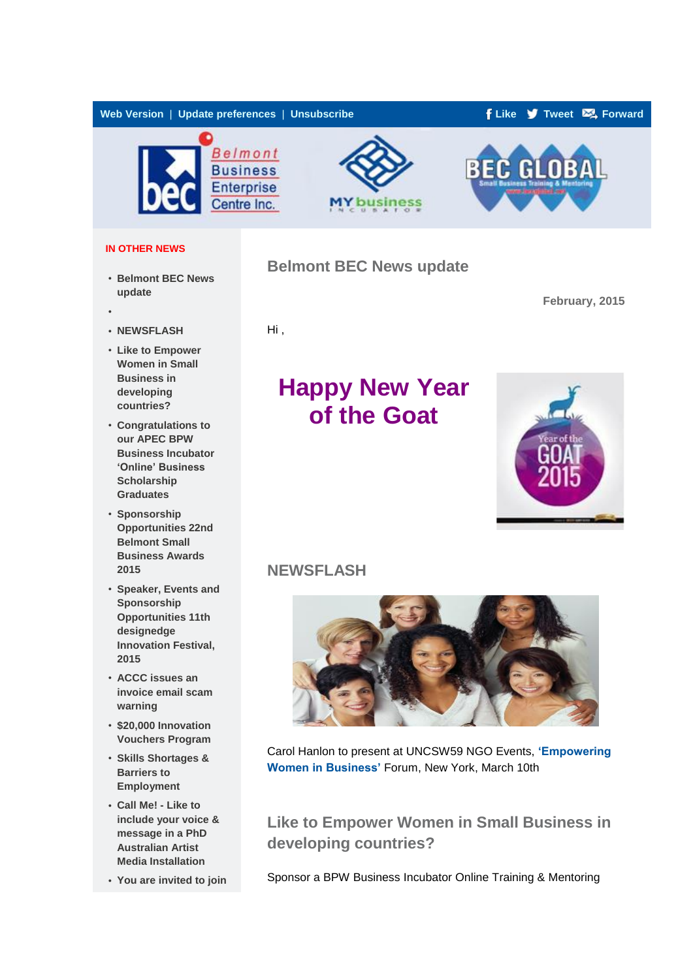

#### **IN OTHER NEWS**

- **[Belmont BEC News](http://bbec.createsend.com/t/ViewEmailInIFrame/j/E4BAA96479FF0816/C67FD2F38AC4859C/?tx=0#toc_item_0)  [update](http://bbec.createsend.com/t/ViewEmailInIFrame/j/E4BAA96479FF0816/C67FD2F38AC4859C/?tx=0#toc_item_0)**
- •
- **[NEWSFLASH](http://bbec.createsend.com/t/ViewEmailInIFrame/j/E4BAA96479FF0816/C67FD2F38AC4859C/?tx=0#toc_item_2)**
- **[Like to Empower](http://bbec.createsend.com/t/ViewEmailInIFrame/j/E4BAA96479FF0816/C67FD2F38AC4859C/?tx=0#toc_item_3)  [Women in Small](http://bbec.createsend.com/t/ViewEmailInIFrame/j/E4BAA96479FF0816/C67FD2F38AC4859C/?tx=0#toc_item_3)  [Business in](http://bbec.createsend.com/t/ViewEmailInIFrame/j/E4BAA96479FF0816/C67FD2F38AC4859C/?tx=0#toc_item_3)  [developing](http://bbec.createsend.com/t/ViewEmailInIFrame/j/E4BAA96479FF0816/C67FD2F38AC4859C/?tx=0#toc_item_3)  [countries?](http://bbec.createsend.com/t/ViewEmailInIFrame/j/E4BAA96479FF0816/C67FD2F38AC4859C/?tx=0#toc_item_3)**
- **[Congratulations to](http://bbec.createsend.com/t/ViewEmailInIFrame/j/E4BAA96479FF0816/C67FD2F38AC4859C/?tx=0#toc_item_4)  [our APEC BPW](http://bbec.createsend.com/t/ViewEmailInIFrame/j/E4BAA96479FF0816/C67FD2F38AC4859C/?tx=0#toc_item_4)  [Business Incubator](http://bbec.createsend.com/t/ViewEmailInIFrame/j/E4BAA96479FF0816/C67FD2F38AC4859C/?tx=0#toc_item_4)  ['Online' Business](http://bbec.createsend.com/t/ViewEmailInIFrame/j/E4BAA96479FF0816/C67FD2F38AC4859C/?tx=0#toc_item_4)  [Scholarship](http://bbec.createsend.com/t/ViewEmailInIFrame/j/E4BAA96479FF0816/C67FD2F38AC4859C/?tx=0#toc_item_4)  [Graduates](http://bbec.createsend.com/t/ViewEmailInIFrame/j/E4BAA96479FF0816/C67FD2F38AC4859C/?tx=0#toc_item_4)**
- **[Sponsorship](http://bbec.createsend.com/t/ViewEmailInIFrame/j/E4BAA96479FF0816/C67FD2F38AC4859C/?tx=0#toc_item_5)  [Opportunities 22nd](http://bbec.createsend.com/t/ViewEmailInIFrame/j/E4BAA96479FF0816/C67FD2F38AC4859C/?tx=0#toc_item_5)  [Belmont Small](http://bbec.createsend.com/t/ViewEmailInIFrame/j/E4BAA96479FF0816/C67FD2F38AC4859C/?tx=0#toc_item_5)  [Business Awards](http://bbec.createsend.com/t/ViewEmailInIFrame/j/E4BAA96479FF0816/C67FD2F38AC4859C/?tx=0#toc_item_5)  [2015](http://bbec.createsend.com/t/ViewEmailInIFrame/j/E4BAA96479FF0816/C67FD2F38AC4859C/?tx=0#toc_item_5)**
- **[Speaker, Events and](http://bbec.createsend.com/t/ViewEmailInIFrame/j/E4BAA96479FF0816/C67FD2F38AC4859C/?tx=0#toc_item_6)  [Sponsorship](http://bbec.createsend.com/t/ViewEmailInIFrame/j/E4BAA96479FF0816/C67FD2F38AC4859C/?tx=0#toc_item_6)  [Opportunities 11th](http://bbec.createsend.com/t/ViewEmailInIFrame/j/E4BAA96479FF0816/C67FD2F38AC4859C/?tx=0#toc_item_6)  [designedge](http://bbec.createsend.com/t/ViewEmailInIFrame/j/E4BAA96479FF0816/C67FD2F38AC4859C/?tx=0#toc_item_6)  [Innovation Festival,](http://bbec.createsend.com/t/ViewEmailInIFrame/j/E4BAA96479FF0816/C67FD2F38AC4859C/?tx=0#toc_item_6)  [2015](http://bbec.createsend.com/t/ViewEmailInIFrame/j/E4BAA96479FF0816/C67FD2F38AC4859C/?tx=0#toc_item_6)**
- **[ACCC issues an](http://bbec.createsend.com/t/ViewEmailInIFrame/j/E4BAA96479FF0816/C67FD2F38AC4859C/?tx=0#toc_item_7)  [invoice email scam](http://bbec.createsend.com/t/ViewEmailInIFrame/j/E4BAA96479FF0816/C67FD2F38AC4859C/?tx=0#toc_item_7)  [warning](http://bbec.createsend.com/t/ViewEmailInIFrame/j/E4BAA96479FF0816/C67FD2F38AC4859C/?tx=0#toc_item_7)**
- **[\\$20,000 Innovation](http://bbec.createsend.com/t/ViewEmailInIFrame/j/E4BAA96479FF0816/C67FD2F38AC4859C/?tx=0#toc_item_8)  [Vouchers Program](http://bbec.createsend.com/t/ViewEmailInIFrame/j/E4BAA96479FF0816/C67FD2F38AC4859C/?tx=0#toc_item_8)**
- **[Skills Shortages &](http://bbec.createsend.com/t/ViewEmailInIFrame/j/E4BAA96479FF0816/C67FD2F38AC4859C/?tx=0#toc_item_9)  [Barriers to](http://bbec.createsend.com/t/ViewEmailInIFrame/j/E4BAA96479FF0816/C67FD2F38AC4859C/?tx=0#toc_item_9)  [Employment](http://bbec.createsend.com/t/ViewEmailInIFrame/j/E4BAA96479FF0816/C67FD2F38AC4859C/?tx=0#toc_item_9)**
- **[Call Me! -](http://bbec.createsend.com/t/ViewEmailInIFrame/j/E4BAA96479FF0816/C67FD2F38AC4859C/?tx=0#toc_item_10) Like to [include your voice &](http://bbec.createsend.com/t/ViewEmailInIFrame/j/E4BAA96479FF0816/C67FD2F38AC4859C/?tx=0#toc_item_10)  [message in a PhD](http://bbec.createsend.com/t/ViewEmailInIFrame/j/E4BAA96479FF0816/C67FD2F38AC4859C/?tx=0#toc_item_10)  [Australian Artist](http://bbec.createsend.com/t/ViewEmailInIFrame/j/E4BAA96479FF0816/C67FD2F38AC4859C/?tx=0#toc_item_10)  [Media Installation](http://bbec.createsend.com/t/ViewEmailInIFrame/j/E4BAA96479FF0816/C67FD2F38AC4859C/?tx=0#toc_item_10)**
- **[You are invited to join](http://bbec.createsend.com/t/ViewEmailInIFrame/j/E4BAA96479FF0816/C67FD2F38AC4859C/?tx=0#toc_item_11)**

### **Belmont BEC News update**

**February, 2015**

Hi ,

# **Happy New Year of the Goat**



### **NEWSFLASH**



Carol Hanlon to present at UNCSW59 NGO Events, **['Empowering](http://bbec.bridgewaymailer.com/t/j-l-diyullt-l-yk/)  [Women in Business'](http://bbec.bridgewaymailer.com/t/j-l-diyullt-l-yk/)** Forum, New York, March 10th

**Like to Empower Women in Small Business in developing countries?**

Sponsor a BPW Business Incubator Online Training & Mentoring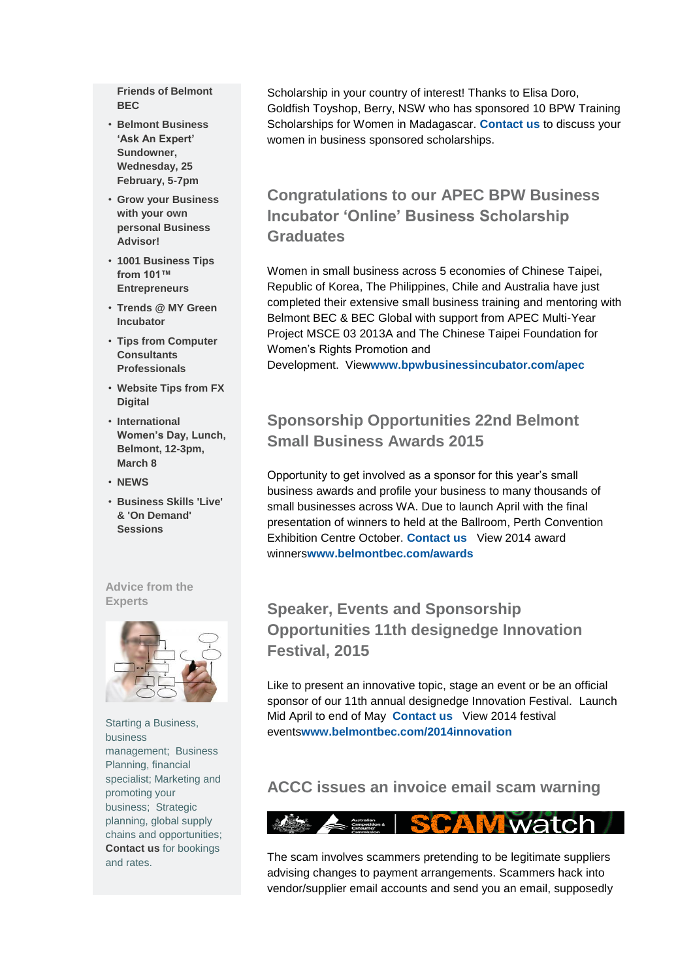**[Friends of Belmont](http://bbec.createsend.com/t/ViewEmailInIFrame/j/E4BAA96479FF0816/C67FD2F38AC4859C/?tx=0#toc_item_11)  [BEC](http://bbec.createsend.com/t/ViewEmailInIFrame/j/E4BAA96479FF0816/C67FD2F38AC4859C/?tx=0#toc_item_11)**

- **[Belmont Business](http://bbec.createsend.com/t/ViewEmailInIFrame/j/E4BAA96479FF0816/C67FD2F38AC4859C/?tx=0#toc_item_12)  ['Ask An Expert'](http://bbec.createsend.com/t/ViewEmailInIFrame/j/E4BAA96479FF0816/C67FD2F38AC4859C/?tx=0#toc_item_12)  [Sundowner,](http://bbec.createsend.com/t/ViewEmailInIFrame/j/E4BAA96479FF0816/C67FD2F38AC4859C/?tx=0#toc_item_12)  [Wednesday, 25](http://bbec.createsend.com/t/ViewEmailInIFrame/j/E4BAA96479FF0816/C67FD2F38AC4859C/?tx=0#toc_item_12)  [February, 5-7pm](http://bbec.createsend.com/t/ViewEmailInIFrame/j/E4BAA96479FF0816/C67FD2F38AC4859C/?tx=0#toc_item_12)**
- **[Grow your Business](http://bbec.createsend.com/t/ViewEmailInIFrame/j/E4BAA96479FF0816/C67FD2F38AC4859C/?tx=0#toc_item_13)  [with your own](http://bbec.createsend.com/t/ViewEmailInIFrame/j/E4BAA96479FF0816/C67FD2F38AC4859C/?tx=0#toc_item_13)  [personal Business](http://bbec.createsend.com/t/ViewEmailInIFrame/j/E4BAA96479FF0816/C67FD2F38AC4859C/?tx=0#toc_item_13)  [Advisor!](http://bbec.createsend.com/t/ViewEmailInIFrame/j/E4BAA96479FF0816/C67FD2F38AC4859C/?tx=0#toc_item_13)**
- **[1001 Business Tips](http://bbec.createsend.com/t/ViewEmailInIFrame/j/E4BAA96479FF0816/C67FD2F38AC4859C/?tx=0#toc_item_14)  [from 101™](http://bbec.createsend.com/t/ViewEmailInIFrame/j/E4BAA96479FF0816/C67FD2F38AC4859C/?tx=0#toc_item_14)  [Entrepreneurs](http://bbec.createsend.com/t/ViewEmailInIFrame/j/E4BAA96479FF0816/C67FD2F38AC4859C/?tx=0#toc_item_14)**
- **[Trends @ MY Green](http://bbec.createsend.com/t/ViewEmailInIFrame/j/E4BAA96479FF0816/C67FD2F38AC4859C/?tx=0#toc_item_15)  [Incubator](http://bbec.createsend.com/t/ViewEmailInIFrame/j/E4BAA96479FF0816/C67FD2F38AC4859C/?tx=0#toc_item_15)**
- **[Tips from Computer](http://bbec.createsend.com/t/ViewEmailInIFrame/j/E4BAA96479FF0816/C67FD2F38AC4859C/?tx=0#toc_item_16)  [Consultants](http://bbec.createsend.com/t/ViewEmailInIFrame/j/E4BAA96479FF0816/C67FD2F38AC4859C/?tx=0#toc_item_16)  [Professionals](http://bbec.createsend.com/t/ViewEmailInIFrame/j/E4BAA96479FF0816/C67FD2F38AC4859C/?tx=0#toc_item_16)**
- **[Website Tips from FX](http://bbec.createsend.com/t/ViewEmailInIFrame/j/E4BAA96479FF0816/C67FD2F38AC4859C/?tx=0#toc_item_17)  [Digital](http://bbec.createsend.com/t/ViewEmailInIFrame/j/E4BAA96479FF0816/C67FD2F38AC4859C/?tx=0#toc_item_17)**
- **[International](http://bbec.createsend.com/t/ViewEmailInIFrame/j/E4BAA96479FF0816/C67FD2F38AC4859C/?tx=0#toc_item_18)  [Women's Day, Lunch,](http://bbec.createsend.com/t/ViewEmailInIFrame/j/E4BAA96479FF0816/C67FD2F38AC4859C/?tx=0#toc_item_18)  [Belmont, 12-3pm,](http://bbec.createsend.com/t/ViewEmailInIFrame/j/E4BAA96479FF0816/C67FD2F38AC4859C/?tx=0#toc_item_18)  [March 8](http://bbec.createsend.com/t/ViewEmailInIFrame/j/E4BAA96479FF0816/C67FD2F38AC4859C/?tx=0#toc_item_18)**
- **[NEWS](http://bbec.createsend.com/t/ViewEmailInIFrame/j/E4BAA96479FF0816/C67FD2F38AC4859C/?tx=0#toc_item_19)**
- **[Business Skills 'Live'](http://bbec.createsend.com/t/ViewEmailInIFrame/j/E4BAA96479FF0816/C67FD2F38AC4859C/?tx=0#toc_item_20)  [& 'On Demand'](http://bbec.createsend.com/t/ViewEmailInIFrame/j/E4BAA96479FF0816/C67FD2F38AC4859C/?tx=0#toc_item_20)  [Sessions](http://bbec.createsend.com/t/ViewEmailInIFrame/j/E4BAA96479FF0816/C67FD2F38AC4859C/?tx=0#toc_item_20)**

**Advice from the Experts**



Starting a Business, business management; Business Planning, financial specialist; Marketing and promoting your business; Strategic planning, global supply chains and opportunities; **[Contact us](mailto:info@belmontbec.com?subject=ONLINE%20Business%20Advisors%2C%20Mentors%2C%20Coaching%20available)** for bookings and rates.

Scholarship in your country of interest! Thanks to Elisa Doro, Goldfish Toyshop, Berry, NSW who has sponsored 10 BPW Training Scholarships for Women in Madagascar. **[Contact us](mailto:BPWBI@belmontbec.com?subject=Feb%20Newsletter-%20BPW%20sponsorship)** to discuss your women in business sponsored scholarships.

### **Congratulations to our APEC BPW Business Incubator 'Online' Business Scholarship Graduates**

Women in small business across 5 economies of Chinese Taipei, Republic of Korea, The Philippines, Chile and Australia have just completed their extensive small business training and mentoring with Belmont BEC & BEC Global with support from APEC Multi-Year Project MSCE 03 2013A and The Chinese Taipei Foundation for Women's Rights Promotion and

Development. View**[www.bpwbusinessincubator.com/apec](http://bbec.bridgewaymailer.com/t/j-l-diyullt-l-yu/)**

# **Sponsorship Opportunities 22nd Belmont Small Business Awards 2015**

Opportunity to get involved as a sponsor for this year's small business awards and profile your business to many thousands of small businesses across WA. Due to launch April with the final presentation of winners to held at the Ballroom, Perth Convention Exhibition Centre October. **[Contact us](mailto:awards@belmontbec.com?subject=Feb%20Newsletter-Awards%20Sponsorship)** View 2014 award winners**[www.belmontbec.com/awards](http://bbec.bridgewaymailer.com/t/j-l-diyullt-l-jl/)**

# **Speaker, Events and Sponsorship Opportunities 11th designedge Innovation Festival, 2015**

Like to present an innovative topic, stage an event or be an official sponsor of our 11th annual designedge Innovation Festival. Launch Mid April to end of May **[Contact us](mailto:events@belmontbec.com?subject=Feb%20Newsletter-%20Innovation%20Festival)** View 2014 festival events**[www.belmontbec.com/2014innovation](http://bbec.bridgewaymailer.com/t/j-l-diyullt-l-jr/)**

### **ACCC issues an invoice email scam warning**



The scam involves scammers pretending to be legitimate suppliers advising changes to payment arrangements. Scammers hack into vendor/supplier email accounts and send you an email, supposedly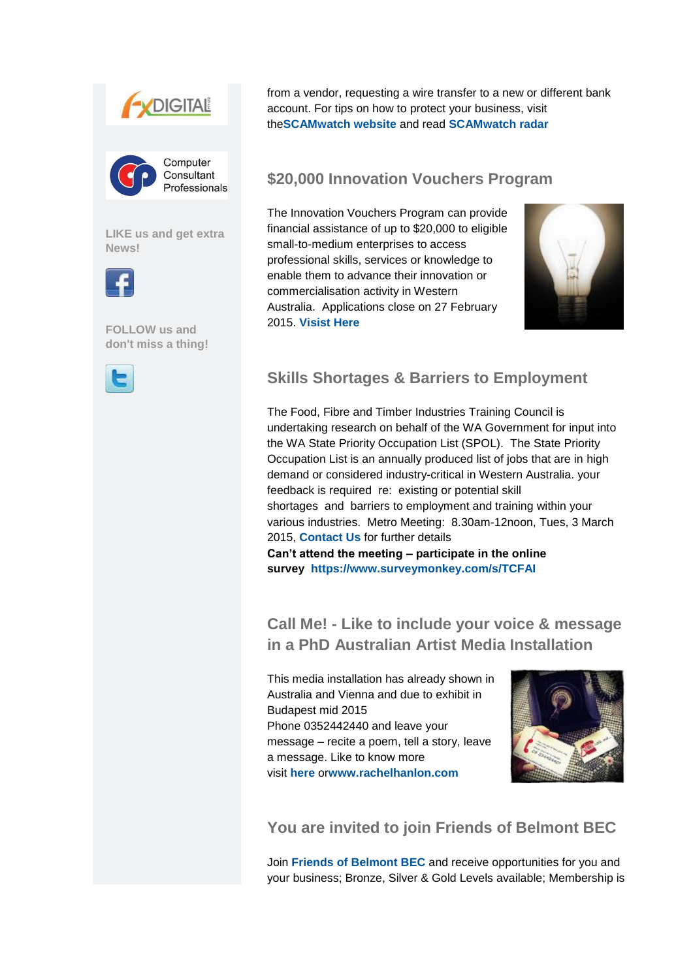



**[LIKE us and get extra](http://bbec.bridgewaymailer.com/t/j-l-diyullt-l-g/)  [News!](http://bbec.bridgewaymailer.com/t/j-l-diyullt-l-g/)**



**[FOLLOW us and](http://bbec.bridgewaymailer.com/t/j-l-diyullt-l-yd/)  [don't miss a thing!](http://bbec.bridgewaymailer.com/t/j-l-diyullt-l-yd/)**



from a vendor, requesting a wire transfer to a new or different bank account. For tips on how to protect your business, visit the**[SCAMwatch website](http://bbec.bridgewaymailer.com/t/j-l-diyullt-l-jy/)** and read **[SCAMwatch radar](http://bbec.bridgewaymailer.com/t/j-l-diyullt-l-jj/)**

### **\$20,000 Innovation Vouchers Program**

The Innovation Vouchers Program can provide financial assistance of up to \$20,000 to eligible small-to-medium enterprises to access professional skills, services or knowledge to enable them to advance their innovation or commercialisation activity in Western Australia. Applications close on 27 February 2015. **[Visist Here](http://bbec.bridgewaymailer.com/t/j-l-diyullt-l-jt/)**



## **Skills Shortages & Barriers to Employment**

The Food, Fibre and Timber Industries Training Council is undertaking research on behalf of the WA Government for input into the WA State Priority Occupation List (SPOL). The State Priority Occupation List is an annually produced list of jobs that are in high demand or considered industry-critical in Western Australia. your feedback is required re: existing or potential skill shortages and barriers to employment and training within your various industries. Metro Meeting: 8.30am-12noon, Tues, 3 March 2015, **[Contact Us](mailto:info@belmontbec.com?subject=Feb%20Newsletter-%20FFTIT%20survey)** for further details **Can't attend the meeting – participate in the online** 

**survey [https://www.surveymonkey.com/s/TCFAI](http://bbec.bridgewaymailer.com/t/j-l-diyullt-l-ji/)**

**Call Me! - Like to include your voice & message in a PhD Australian Artist Media Installation**

This media installation has already shown in Australia and Vienna and due to exhibit in Budapest mid 2015 Phone 0352442440 and leave your message – recite a poem, tell a story, leave a message. Like to know more visit **[here](http://bbec.bridgewaymailer.com/t/j-l-diyullt-l-jd/)** or**[www.rachelhanlon.com](http://bbec.bridgewaymailer.com/t/j-l-diyullt-l-jh/)**



# **[You are invited to join Friends of Belmont BEC](http://bbec.bridgewaymailer.com/t/j-l-diyullt-l-jk/)**

Join **[Friends of Belmont BEC](http://bbec.bridgewaymailer.com/t/j-l-diyullt-l-ju/)** and receive opportunities for you and your business; Bronze, Silver & Gold Levels available; Membership is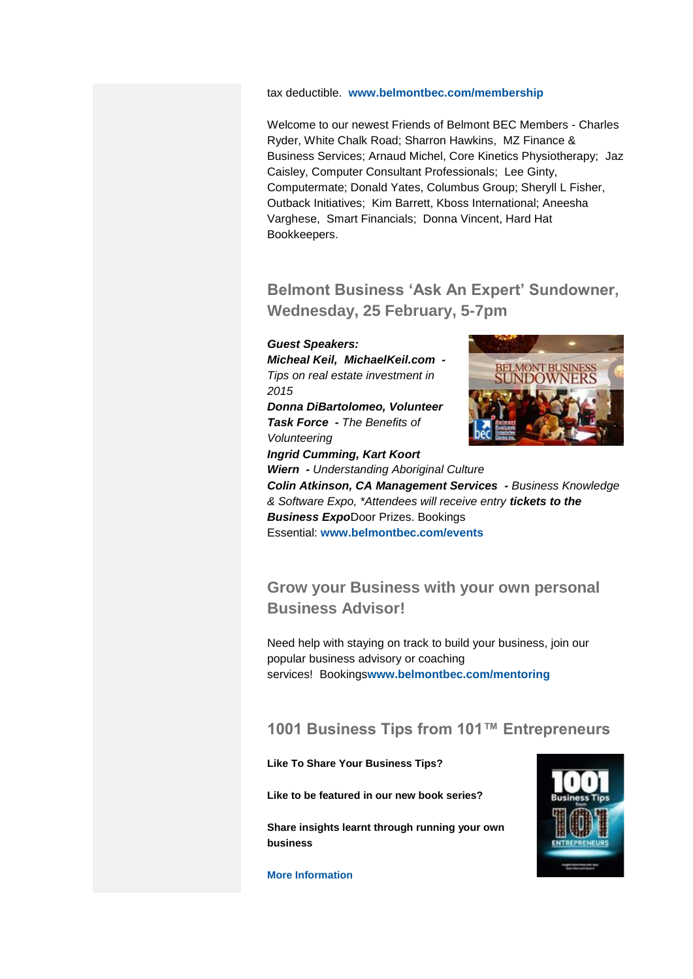#### tax deductible. **[www.belmontbec.com/membership](http://bbec.bridgewaymailer.com/t/j-l-diyullt-l-tl/)**

Welcome to our newest Friends of Belmont BEC Members - Charles Ryder, White Chalk Road; Sharron Hawkins, MZ Finance & Business Services; Arnaud Michel, Core Kinetics Physiotherapy; Jaz Caisley, Computer Consultant Professionals; Lee Ginty, Computermate; Donald Yates, Columbus Group; Sheryll L Fisher, Outback Initiatives; Kim Barrett, Kboss International; Aneesha Varghese, Smart Financials; Donna Vincent, Hard Hat Bookkeepers.

### **Belmont Business 'Ask An Expert' Sundowner, Wednesday, 25 February, 5-7pm**

#### *Guest Speakers:*

*Micheal Keil, MichaelKeil.com - Tips on real estate investment in 2015*

*Donna DiBartolomeo, Volunteer Task Force - The Benefits of Volunteering*

*Ingrid Cumming, Kart Koort* 

*Wiern - Understanding Aboriginal Culture Colin Atkinson, CA Management Services - Business Knowledge & Software Expo, \*Attendees will receive entry tickets to the Business Expo*Door Prizes. Bookings

Essential: **[www.belmontbec.com/events](http://bbec.bridgewaymailer.com/t/j-l-diyullt-l-tr/)**

### **Grow your Business with your own personal Business Advisor!**

Need help with staying on track to build your business, join our popular business advisory or coaching services! Bookings**[www.belmontbec.com/mentoring](http://bbec.bridgewaymailer.com/t/j-l-diyullt-l-ty/)**

### **1001 Business Tips from 101™ Entrepreneurs**

**Like To Share Your Business Tips?**

**Like to be featured in our new book series?**

**Share insights learnt through running your own business**



**[More Information](http://bbec.bridgewaymailer.com/t/j-l-diyullt-l-tj/)**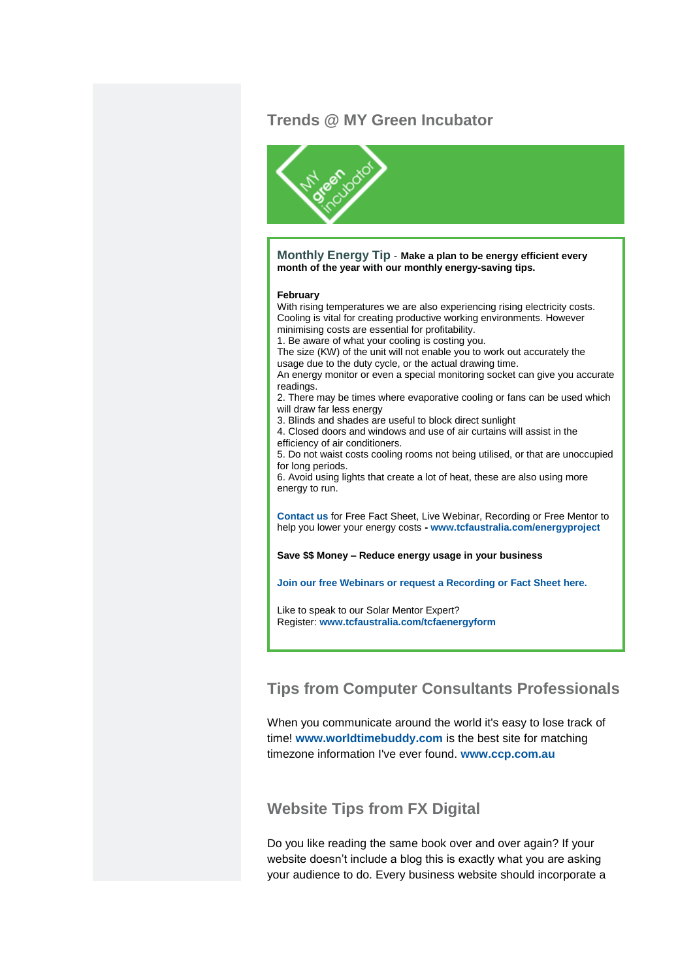### **Trends @ MY Green Incubator**



**Monthly Energy Tip - Make a plan to be energy efficient every month of the year with our monthly energy-saving tips.**

#### **February**

With rising temperatures we are also experiencing rising electricity costs. Cooling is vital for creating productive working environments. However minimising costs are essential for profitability.

1. Be aware of what your cooling is costing you.

The size (KW) of the unit will not enable you to work out accurately the usage due to the duty cycle, or the actual drawing time.

An energy monitor or even a special monitoring socket can give you accurate readings.

2. There may be times where evaporative cooling or fans can be used which will draw far less energy

3. Blinds and shades are useful to block direct sunlight

4. Closed doors and windows and use of air curtains will assist in the efficiency of air conditioners.

5. Do not waist costs cooling rooms not being utilised, or that are unoccupied for long periods.

6. Avoid using lights that create a lot of heat, these are also using more energy to run.

**[Contact us](mailto:greenenergy@tcfaustralia.com?subject=Free%20Energy%20Efficiency%20Fact%20Sheets)** for Free Fact Sheet, Live Webinar, Recording or Free Mentor to help you lower your energy costs **- [www.tcfaustralia.com/energyproject](http://bbec.bridgewaymailer.com/t/j-l-diyullt-l-tt/)**

**Save \$\$ Money – Reduce energy usage in your business**

**[Join our free Webinars or request a Recording or Fact Sheet here.](http://bbec.bridgewaymailer.com/t/j-l-diyullt-l-ti/)**

Like to speak to our Solar Mentor Expert? Register: **[www.tcfaustralia.com/tcfaenergyform](http://bbec.bridgewaymailer.com/t/j-l-diyullt-l-td/)**

### **[Tips from Computer Consultants Professionals](http://bbec.bridgewaymailer.com/t/j-l-diyullt-l-th/)**

When you communicate around the world it's easy to lose track of time! **[www.worldtimebuddy.com](http://bbec.bridgewaymailer.com/t/j-l-diyullt-l-tk/)** is the best site for matching timezone information I've ever found. **[www.ccp.com.au](http://bbec.bridgewaymailer.com/t/j-l-diyullt-l-tu/)**

### **[Website Tips from FX Digital](http://bbec.bridgewaymailer.com/t/j-l-diyullt-l-il/)**

Do you like reading the same book over and over again? If your website doesn't include a blog this is exactly what you are asking your audience to do. Every business website should incorporate a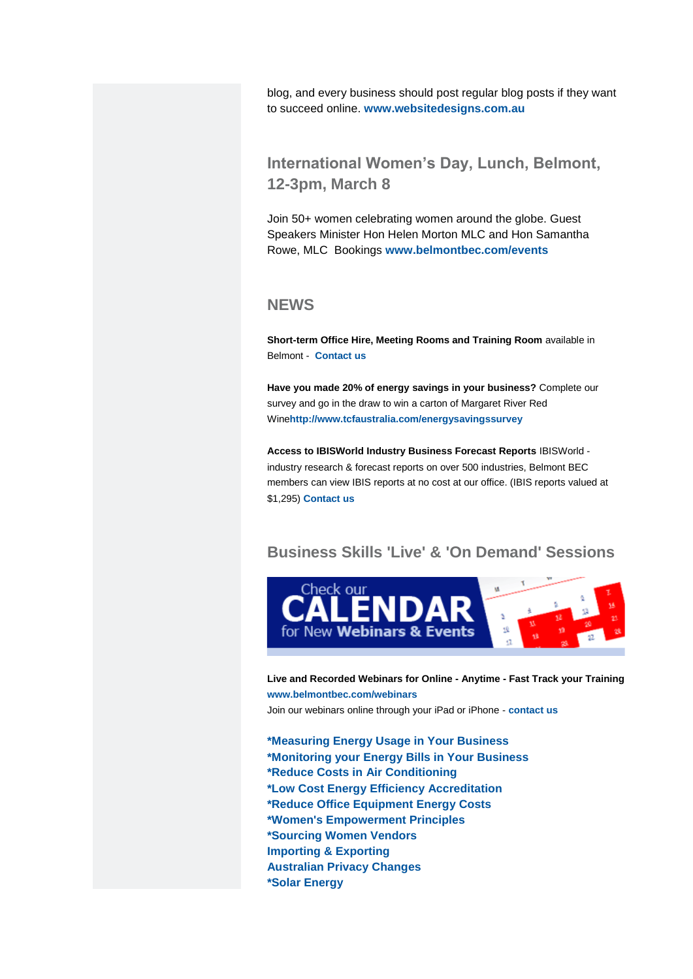blog, and every business should post regular blog posts if they want to succeed online. **[www.websitedesigns.com.au](http://bbec.bridgewaymailer.com/t/j-l-diyullt-l-ir/)**

### **International Women's Day, Lunch, Belmont, 12-3pm, March 8**

Join 50+ women celebrating women around the globe. Guest Speakers Minister Hon Helen Morton MLC and Hon Samantha Rowe, MLC Bookings **[www.belmontbec.com/events](http://bbec.bridgewaymailer.com/t/j-l-diyullt-l-iy/)**

### **NEWS**

**Short-term Office Hire, Meeting Rooms and Training Room** available in Belmont - **[Contact us](mailto:info@belmontbec.com?subject=Short-term%20Office%20Hire%2C%20Meeting%20and%20Training%20Room)**

**Have you made 20% of energy savings in your business?** Complete our survey and go in the draw to win a carton of Margaret River Red Wine**[http://www.tcfaustralia.com/energysavingssurvey](http://bbec.bridgewaymailer.com/t/j-l-diyullt-l-ij/)**

**Access to IBISWorld Industry Business Forecast Reports** IBISWorld industry research & forecast reports on over 500 industries, Belmont BEC members can view IBIS reports at no cost at our office. (IBIS reports valued at \$1,295) **[Contact us](mailto:info@belmontbec.com?subject=Access%20to%20IBISWorld%20Industry%20Business%20Forecast%20Reports)**

### **Business Skills 'Live' & 'On Demand' Sessions**



**Live and Recorded Webinars for Online - Anytime - Fast Track your Training [www.belmontbec.com/webinars](http://bbec.bridgewaymailer.com/t/j-l-diyullt-l-ii/)** Join our webinars online through your iPad or iPhone - **[contact us](mailto:support@belmontbec.com?subject=Question%20-%20how%20to%20access%20the%20webinar%20on%20iPad%20or%20iPhone)**

**[\\*Measuring Energy Usage in Your Business](http://bbec.bridgewaymailer.com/t/j-l-diyullt-l-id/) [\\*Monitoring your Energy Bills in Your Business](http://bbec.bridgewaymailer.com/t/j-l-diyullt-l-id/) [\\*Reduce Costs in Air Conditioning](http://bbec.bridgewaymailer.com/t/j-l-diyullt-l-id/) [\\*Low Cost Energy Efficiency Accreditation](http://bbec.bridgewaymailer.com/t/j-l-diyullt-l-id/) [\\*Reduce Office Equipment Energy Costs](http://bbec.bridgewaymailer.com/t/j-l-diyullt-l-id/) [\\*Women's Empowerment Principles](http://bbec.bridgewaymailer.com/t/j-l-diyullt-l-ih/) [\\*Sourcing Women Vendors](http://bbec.bridgewaymailer.com/t/j-l-diyullt-l-ih/) [Importing & Exporting](http://bbec.bridgewaymailer.com/t/j-l-diyullt-l-ik/) [Australian Privacy](http://bbec.bridgewaymailer.com/t/j-l-diyullt-l-iu/) Changes [\\*Solar Energy](http://bbec.bridgewaymailer.com/t/j-l-diyullt-l-dl/)**